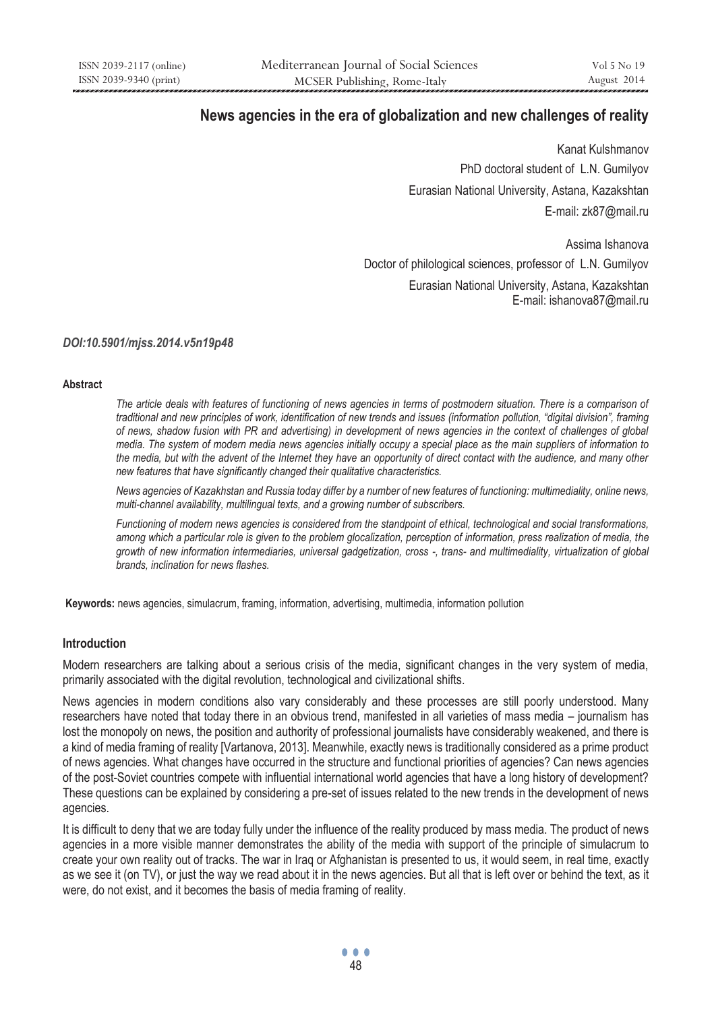# **News agencies in the era of globalization and new challenges of reality**

 Kanat Kulshmanov PhD doctoral student of L.N. Gumilyov Eurasian National University, Astana, Kazakshtan E-mail: zk87@mail.ru

 Assima Ishanova Doctor of philological sciences, professor of L.N. Gumilyov Eurasian National University, Astana, Kazakshtan E-mail: ishanova87@mail.ru

## *DOI:10.5901/mjss.2014.v5n19p48*

#### **Abstract**

The article deals with features of functioning of news agencies in terms of postmodern situation. There is a comparison of *traditional and new principles of work, identification of new trends and issues (information pollution, "digital division", framing of news, shadow fusion with PR and advertising) in development of news agencies in the context of challenges of global media. The system of modern media news agencies initially occupy a special place as the main suppliers of information to the media, but with the advent of the Internet they have an opportunity of direct contact with the audience, and many other new features that have significantly changed their qualitative characteristics.* 

*News agencies of Kazakhstan and Russia today differ by a number of new features of functioning: multimediality, online news, multi-channel availability, multilingual texts, and a growing number of subscribers.* 

*Functioning of modern news agencies is considered from the standpoint of ethical, technological and social transformations, among which a particular role is given to the problem glocalization, perception of information, press realization of media, the growth of new information intermediaries, universal gadgetization, cross -, trans- and multimediality, virtualization of global brands, inclination for news flashes.* 

**Keywords:** news agencies, simulacrum, framing, information, advertising, multimedia, information pollution

#### **Introduction**

Modern researchers are talking about a serious crisis of the media, significant changes in the very system of media, primarily associated with the digital revolution, technological and civilizational shifts.

News agencies in modern conditions also vary considerably and these processes are still poorly understood. Many researchers have noted that today there in an obvious trend, manifested in all varieties of mass media – journalism has lost the monopoly on news, the position and authority of professional journalists have considerably weakened, and there is a kind of media framing of reality [Vartanova, 2013]. Meanwhile, exactly news is traditionally considered as a prime product of news agencies. What changes have occurred in the structure and functional priorities of agencies? Can news agencies of the post-Soviet countries compete with influential international world agencies that have a long history of development? These questions can be explained by considering a pre-set of issues related to the new trends in the development of news agencies.

It is difficult to deny that we are today fully under the influence of the reality produced by mass media. The product of news agencies in a more visible manner demonstrates the ability of the media with support of the principle of simulacrum to create your own reality out of tracks. The war in Iraq or Afghanistan is presented to us, it would seem, in real time, exactly as we see it (on TV), or just the way we read about it in the news agencies. But all that is left over or behind the text, as it were, do not exist, and it becomes the basis of media framing of reality.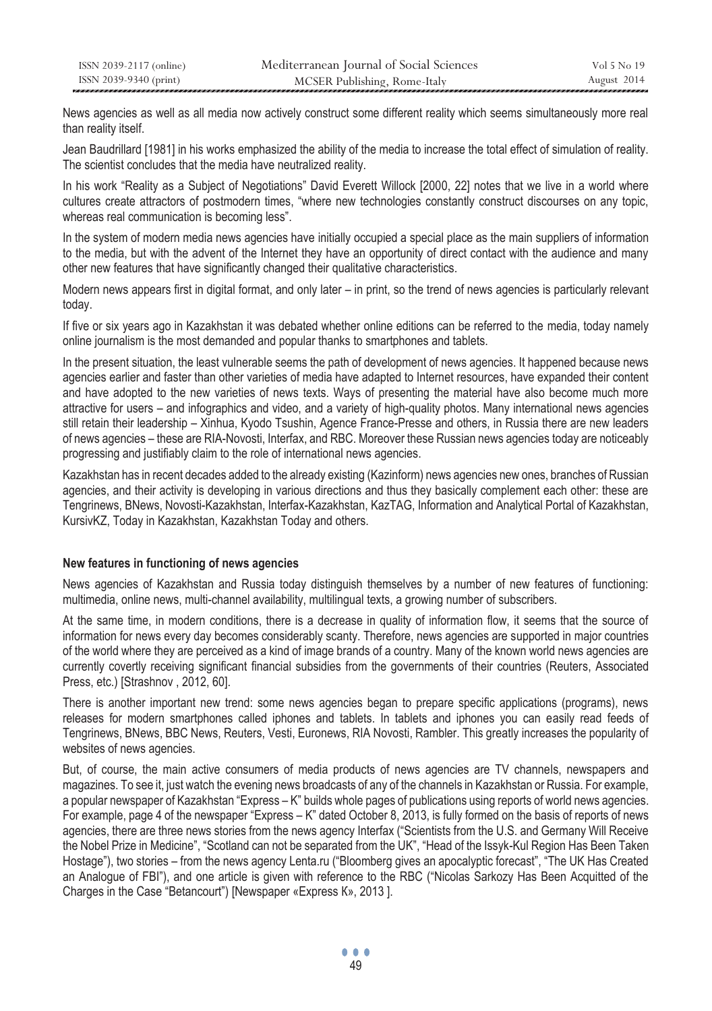| ISSN 2039-2117 (online) | Mediterranean Journal of Social Sciences | Vol 5 No 19 |
|-------------------------|------------------------------------------|-------------|
| ISSN 2039-9340 (print)  | MCSER Publishing, Rome-Italy             | August 2014 |

News agencies as well as all media now actively construct some different reality which seems simultaneously more real than reality itself.

Jean Baudrillard [1981] in his works emphasized the ability of the media to increase the total effect of simulation of reality. The scientist concludes that the media have neutralized reality.

In his work "Reality as a Subject of Negotiations" David Everett Willock [2000, 22] notes that we live in a world where cultures create attractors of postmodern times, "where new technologies constantly construct discourses on any topic, whereas real communication is becoming less".

In the system of modern media news agencies have initially occupied a special place as the main suppliers of information to the media, but with the advent of the Internet they have an opportunity of direct contact with the audience and many other new features that have significantly changed their qualitative characteristics.

Modern news appears first in digital format, and only later – in print, so the trend of news agencies is particularly relevant today.

If five or six years ago in Kazakhstan it was debated whether online editions can be referred to the media, today namely online journalism is the most demanded and popular thanks to smartphones and tablets.

In the present situation, the least vulnerable seems the path of development of news agencies. It happened because news agencies earlier and faster than other varieties of media have adapted to Internet resources, have expanded their content and have adopted to the new varieties of news texts. Ways of presenting the material have also become much more attractive for users – and infographics and video, and a variety of high-quality photos. Many international news agencies still retain their leadership – Xinhua, Kyodo Tsushin, Agence France-Presse and others, in Russia there are new leaders of news agencies – these are RIA-Novosti, Interfax, and RBC. Moreover these Russian news agencies today are noticeably progressing and justifiably claim to the role of international news agencies.

Kazakhstan has in recent decades added to the already existing (Kazinform) news agencies new ones, branches of Russian agencies, and their activity is developing in various directions and thus they basically complement each other: these are Tengrinews, BNews, Novosti-Kazakhstan, Interfax-Kazakhstan, KazTAG, Information and Analytical Portal of Kazakhstan, KursivKZ, Today in Kazakhstan, Kazakhstan Today and others.

## **New features in functioning of news agencies**

News agencies of Kazakhstan and Russia today distinguish themselves by a number of new features of functioning: multimedia, online news, multi-channel availability, multilingual texts, a growing number of subscribers.

At the same time, in modern conditions, there is a decrease in quality of information flow, it seems that the source of information for news every day becomes considerably scanty. Therefore, news agencies are supported in major countries of the world where they are perceived as a kind of image brands of a country. Many of the known world news agencies are currently covertly receiving significant financial subsidies from the governments of their countries (Reuters, Associated Press, etc.) [Strashnov , 2012, 60].

There is another important new trend: some news agencies began to prepare specific applications (programs), news releases for modern smartphones called iphones and tablets. In tablets and iphones you can easily read feeds of Tengrinews, BNews, BBC News, Reuters, Vesti, Euronews, RIA Novosti, Rambler. This greatly increases the popularity of websites of news agencies.

But, of course, the main active consumers of media products of news agencies are TV channels, newspapers and magazines. To see it, just watch the evening news broadcasts of any of the channels in Kazakhstan or Russia. For example, a popular newspaper of Kazakhstan "Express – K" builds whole pages of publications using reports of world news agencies. For example, page 4 of the newspaper "Express – K" dated October 8, 2013, is fully formed on the basis of reports of news agencies, there are three news stories from the news agency Interfax ("Scientists from the U.S. and Germany Will Receive the Nobel Prize in Medicine", "Scotland can not be separated from the UK", "Head of the Issyk-Kul Region Has Been Taken Hostage"), two stories – from the news agency Lenta.ru ("Bloomberg gives an apocalyptic forecast", "The UK Has Created an Analogue of FBI"), and one article is given with reference to the RBC ("Nicolas Sarkozy Has Been Acquitted of the Charges in the Case "Betancourt") [Newspaper «Express К», 2013 ].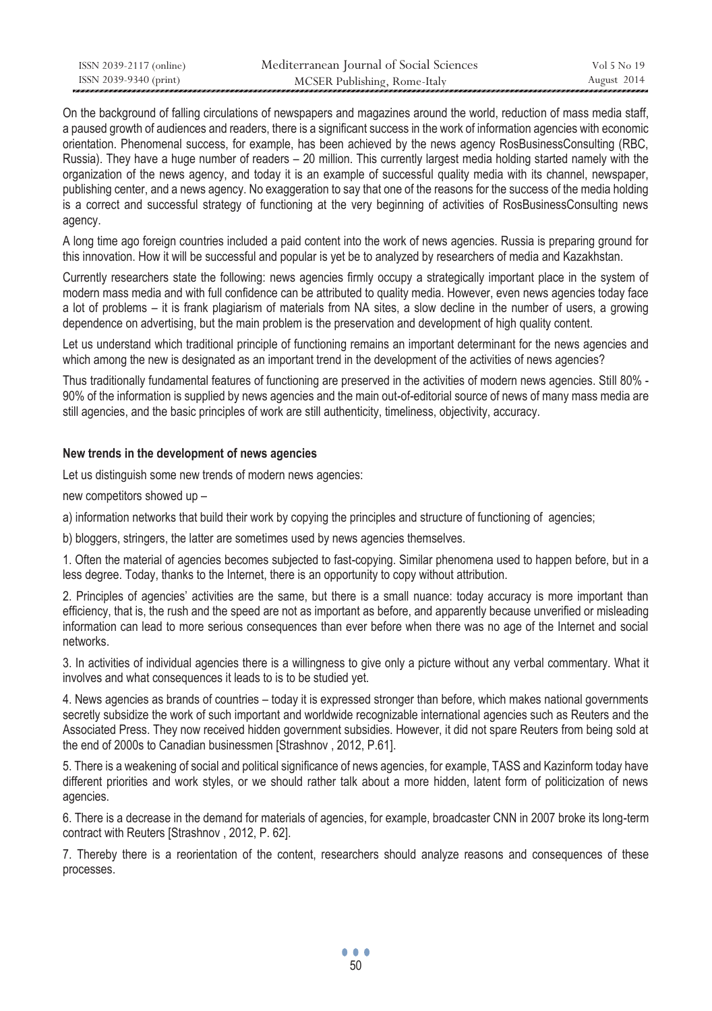| ISSN 2039-2117 (online) | Mediterranean Journal of Social Sciences | Vol 5 No 19 |
|-------------------------|------------------------------------------|-------------|
| ISSN 2039-9340 (print)  | MCSER Publishing, Rome-Italy             | August 2014 |

On the background of falling circulations of newspapers and magazines around the world, reduction of mass media staff, a paused growth of audiences and readers, there is a significant success in the work of information agencies with economic orientation. Phenomenal success, for example, has been achieved by the news agency RosBusinessConsulting (RBC, Russia). They have a huge number of readers – 20 million. This currently largest media holding started namely with the organization of the news agency, and today it is an example of successful quality media with its channel, newspaper, publishing center, and a news agency. No exaggeration to say that one of the reasons for the success of the media holding is a correct and successful strategy of functioning at the very beginning of activities of RosBusinessConsulting news agency.

A long time ago foreign countries included a paid content into the work of news agencies. Russia is preparing ground for this innovation. How it will be successful and popular is yet be to analyzed by researchers of media and Kazakhstan.

Currently researchers state the following: news agencies firmly occupy a strategically important place in the system of modern mass media and with full confidence can be attributed to quality media. However, even news agencies today face a lot of problems – it is frank plagiarism of materials from NA sites, a slow decline in the number of users, a growing dependence on advertising, but the main problem is the preservation and development of high quality content.

Let us understand which traditional principle of functioning remains an important determinant for the news agencies and which among the new is designated as an important trend in the development of the activities of news agencies?

Thus traditionally fundamental features of functioning are preserved in the activities of modern news agencies. Still 80% - 90% of the information is supplied by news agencies and the main out-of-editorial source of news of many mass media are still agencies, and the basic principles of work are still authenticity, timeliness, objectivity, accuracy.

#### **New trends in the development of news agencies**

Let us distinguish some new trends of modern news agencies:

new competitors showed up –

a) information networks that build their work by copying the principles and structure of functioning of agencies;

b) bloggers, stringers, the latter are sometimes used by news agencies themselves.

1. Often the material of agencies becomes subjected to fast-copying. Similar phenomena used to happen before, but in a less degree. Today, thanks to the Internet, there is an opportunity to copy without attribution.

2. Principles of agencies' activities are the same, but there is a small nuance: today accuracy is more important than efficiency, that is, the rush and the speed are not as important as before, and apparently because unverified or misleading information can lead to more serious consequences than ever before when there was no age of the Internet and social networks.

3. In activities of individual agencies there is a willingness to give only a picture without any verbal commentary. What it involves and what consequences it leads to is to be studied yet.

4. News agencies as brands of countries – today it is expressed stronger than before, which makes national governments secretly subsidize the work of such important and worldwide recognizable international agencies such as Reuters and the Associated Press. They now received hidden government subsidies. However, it did not spare Reuters from being sold at the end of 2000s to Canadian businessmen [Strashnov , 2012, Р.61].

5. There is a weakening of social and political significance of news agencies, for example, TASS and Kazinform today have different priorities and work styles, or we should rather talk about a more hidden, latent form of politicization of news agencies.

6. There is a decrease in the demand for materials of agencies, for example, broadcaster CNN in 2007 broke its long-term contract with Reuters [Strashnov , 2012, P. 62].

7. Thereby there is a reorientation of the content, researchers should analyze reasons and consequences of these processes.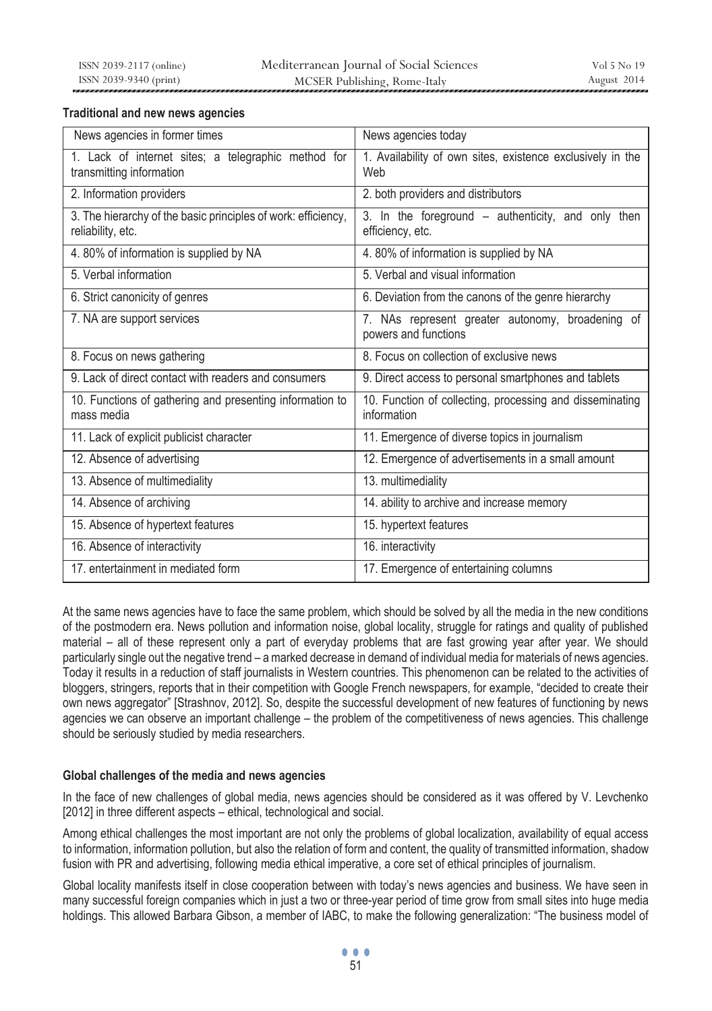#### **Traditional and new news agencies**

| News agencies in former times                                                      | News agencies today                                                      |  |
|------------------------------------------------------------------------------------|--------------------------------------------------------------------------|--|
| 1. Lack of internet sites; a telegraphic method for<br>transmitting information    | 1. Availability of own sites, existence exclusively in the<br>Web        |  |
| 2. Information providers                                                           | 2. both providers and distributors                                       |  |
| 3. The hierarchy of the basic principles of work: efficiency,<br>reliability, etc. | 3. In the foreground – authenticity, and only then<br>efficiency, etc.   |  |
| 4.80% of information is supplied by NA                                             | 4.80% of information is supplied by NA                                   |  |
| 5. Verbal information                                                              | 5. Verbal and visual information                                         |  |
| 6. Strict canonicity of genres                                                     | 6. Deviation from the canons of the genre hierarchy                      |  |
| 7. NA are support services                                                         | 7. NAs represent greater autonomy, broadening of<br>powers and functions |  |
| 8. Focus on news gathering                                                         | 8. Focus on collection of exclusive news                                 |  |
| 9. Lack of direct contact with readers and consumers                               | 9. Direct access to personal smartphones and tablets                     |  |
| 10. Functions of gathering and presenting information to<br>mass media             | 10. Function of collecting, processing and disseminating<br>information  |  |
| 11. Lack of explicit publicist character                                           | 11. Emergence of diverse topics in journalism                            |  |
| 12. Absence of advertising                                                         | 12. Emergence of advertisements in a small amount                        |  |
| 13. Absence of multimediality                                                      | 13. multimediality                                                       |  |
| 14. Absence of archiving                                                           | 14. ability to archive and increase memory                               |  |
| 15. Absence of hypertext features                                                  | 15. hypertext features                                                   |  |
| 16. Absence of interactivity                                                       | 16. interactivity                                                        |  |
| 17. entertainment in mediated form                                                 | 17. Emergence of entertaining columns                                    |  |

At the same news agencies have to face the same problem, which should be solved by all the media in the new conditions of the postmodern era. News pollution and information noise, global locality, struggle for ratings and quality of published material – all of these represent only a part of everyday problems that are fast growing year after year. We should particularly single out the negative trend – a marked decrease in demand of individual media for materials of news agencies. Today it results in a reduction of staff journalists in Western countries. This phenomenon can be related to the activities of bloggers, stringers, reports that in their competition with Google French newspapers, for example, "decided to create their own news aggregator" [Strashnov, 2012]. So, despite the successful development of new features of functioning by news agencies we can observe an important challenge – the problem of the competitiveness of news agencies. This challenge should be seriously studied by media researchers.

## **Global challenges of the media and news agencies**

In the face of new challenges of global media, news agencies should be considered as it was offered by V. Levchenko [2012] in three different aspects – ethical, technological and social.

Among ethical challenges the most important are not only the problems of global localization, availability of equal access to information, information pollution, but also the relation of form and content, the quality of transmitted information, shadow fusion with PR and advertising, following media ethical imperative, a core set of ethical principles of journalism.

Global locality manifests itself in close cooperation between with today's news agencies and business. We have seen in many successful foreign companies which in just a two or three-year period of time grow from small sites into huge media holdings. This allowed Barbara Gibson, a member of IABC, to make the following generalization: "The business model of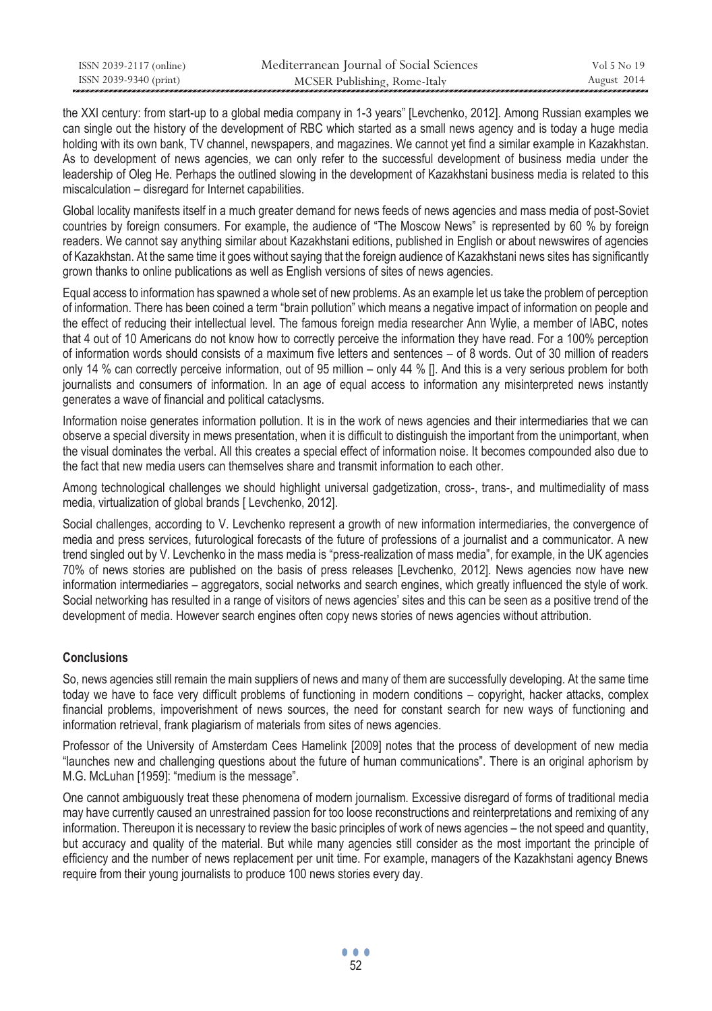| ISSN 2039-2117 (online) | Mediterranean Journal of Social Sciences | Vol 5 No 19 |
|-------------------------|------------------------------------------|-------------|
| ISSN 2039-9340 (print)  | MCSER Publishing, Rome-Italy             | August 2014 |

the XXI century: from start-up to a global media company in 1-3 years" [Levchenko, 2012]. Among Russian examples we can single out the history of the development of RBC which started as a small news agency and is today a huge media holding with its own bank, TV channel, newspapers, and magazines. We cannot yet find a similar example in Kazakhstan. As to development of news agencies, we can only refer to the successful development of business media under the leadership of Oleg He. Perhaps the outlined slowing in the development of Kazakhstani business media is related to this miscalculation – disregard for Internet capabilities.

Global locality manifests itself in a much greater demand for news feeds of news agencies and mass media of post-Soviet countries by foreign consumers. For example, the audience of "The Moscow News" is represented by 60 % by foreign readers. We cannot say anything similar about Kazakhstani editions, published in English or about newswires of agencies of Kazakhstan. At the same time it goes without saying that the foreign audience of Kazakhstani news sites has significantly grown thanks to online publications as well as English versions of sites of news agencies.

Equal access to information has spawned a whole set of new problems. As an example let us take the problem of perception of information. There has been coined a term "brain pollution" which means a negative impact of information on people and the effect of reducing their intellectual level. The famous foreign media researcher Ann Wylie, a member of IABC, notes that 4 out of 10 Americans do not know how to correctly perceive the information they have read. For a 100% perception of information words should consists of a maximum five letters and sentences – of 8 words. Out of 30 million of readers only 14 % can correctly perceive information, out of 95 million – only 44 % []. And this is a very serious problem for both journalists and consumers of information. In an age of equal access to information any misinterpreted news instantly generates a wave of financial and political cataclysms.

Information noise generates information pollution. It is in the work of news agencies and their intermediaries that we can observe a special diversity in mews presentation, when it is difficult to distinguish the important from the unimportant, when the visual dominates the verbal. All this creates a special effect of information noise. It becomes compounded also due to the fact that new media users can themselves share and transmit information to each other.

Among technological challenges we should highlight universal gadgetization, cross-, trans-, and multimediality of mass media, virtualization of global brands [ Levchenko, 2012].

Social challenges, according to V. Levchenko represent a growth of new information intermediaries, the convergence of media and press services, futurological forecasts of the future of professions of a journalist and a communicator. A new trend singled out by V. Levchenko in the mass media is "press-realization of mass media", for example, in the UK agencies 70% of news stories are published on the basis of press releases [Levchenko, 2012]. News agencies now have new information intermediaries – aggregators, social networks and search engines, which greatly influenced the style of work. Social networking has resulted in a range of visitors of news agencies' sites and this can be seen as a positive trend of the development of media. However search engines often copy news stories of news agencies without attribution.

## **Conclusions**

So, news agencies still remain the main suppliers of news and many of them are successfully developing. At the same time today we have to face very difficult problems of functioning in modern conditions – copyright, hacker attacks, complex financial problems, impoverishment of news sources, the need for constant search for new ways of functioning and information retrieval, frank plagiarism of materials from sites of news agencies.

Professor of the University of Amsterdam Cees Hamelink [2009] notes that the process of development of new media "launches new and challenging questions about the future of human communications". There is an original aphorism by M.G. McLuhan [1959]: "medium is the message".

One cannot ambiguously treat these phenomena of modern journalism. Excessive disregard of forms of traditional media may have currently caused an unrestrained passion for too loose reconstructions and reinterpretations and remixing of any information. Thereupon it is necessary to review the basic principles of work of news agencies – the not speed and quantity, but accuracy and quality of the material. But while many agencies still consider as the most important the principle of efficiency and the number of news replacement per unit time. For example, managers of the Kazakhstani agency Bnews require from their young journalists to produce 100 news stories every day.